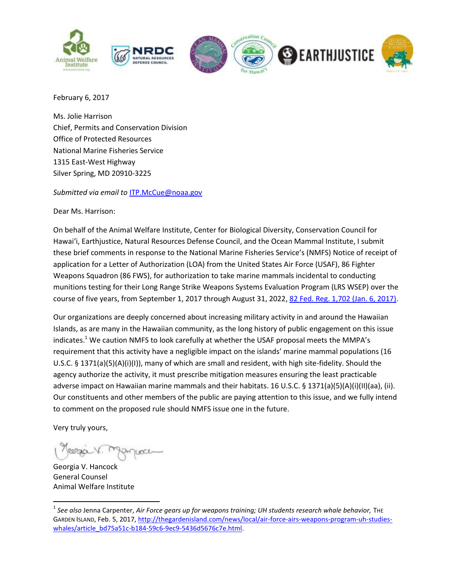

February 6, 2017

Ms. Jolie Harrison Chief, Permits and Conservation Division Office of Protected Resources National Marine Fisheries Service 1315 East-West Highway Silver Spring, MD 20910-3225

*Submitted via email to* [ITP.McCue@noaa.gov](mailto:ITP.McCue@noaa.gov)

Dear Ms. Harrison:

On behalf of the Animal Welfare Institute, Center for Biological Diversity, Conservation Council for Hawai'i, Earthjustice, Natural Resources Defense Council, and the Ocean Mammal Institute, I submit these brief comments in response to the National Marine Fisheries Service's (NMFS) Notice of receipt of application for a Letter of Authorization (LOA) from the United States Air Force (USAF), 86 Fighter Weapons Squadron (86 FWS), for authorization to take marine mammals incidental to conducting munitions testing for their Long Range Strike Weapons Systems Evaluation Program (LRS WSEP) over the course of five years, from September 1, 2017 through August 31, 2022[, 82 Fed. Reg. 1,702 \(Jan. 6, 2017\).](https://www.gpo.gov/fdsys/pkg/FR-2017-01-06/pdf/2016-31947.pdf)

Our organizations are deeply concerned about increasing military activity in and around the Hawaiian Islands, as are many in the Hawaiian community, as the long history of public engagement on this issue indicates.<sup>1</sup> We caution NMFS to look carefully at whether the USAF proposal meets the MMPA's requirement that this activity have a negligible impact on the islands' marine mammal populations (16 U.S.C. § 1371(a)(5)(A)(i)(I)), many of which are small and resident, with high site-fidelity. Should the agency authorize the activity, it must prescribe mitigation measures ensuring the least practicable adverse impact on Hawaiian marine mammals and their habitats. 16 U.S.C. § 1371(a)(5)(A)(i)(II)(aa), (ii). Our constituents and other members of the public are paying attention to this issue, and we fully intend to comment on the proposed rule should NMFS issue one in the future.

Very truly yours,

 $\overline{\phantom{a}}$ 

Georgia V. Hancock General Counsel Animal Welfare Institute

<sup>&</sup>lt;sup>1</sup> See also Jenna Carpenter, Air Force gears up for weapons training; UH students research whale behavior, THE GARDEN ISLAND, Feb. 5, 2017[, http://thegardenisland.com/news/local/air-force-airs-weapons-program-uh-studies](http://thegardenisland.com/news/local/air-force-airs-weapons-program-uh-studies-whales/article_bd75a51c-b184-59c6-9ec9-5436d5676c7e.html)[whales/article\\_bd75a51c-b184-59c6-9ec9-5436d5676c7e.html.](http://thegardenisland.com/news/local/air-force-airs-weapons-program-uh-studies-whales/article_bd75a51c-b184-59c6-9ec9-5436d5676c7e.html)